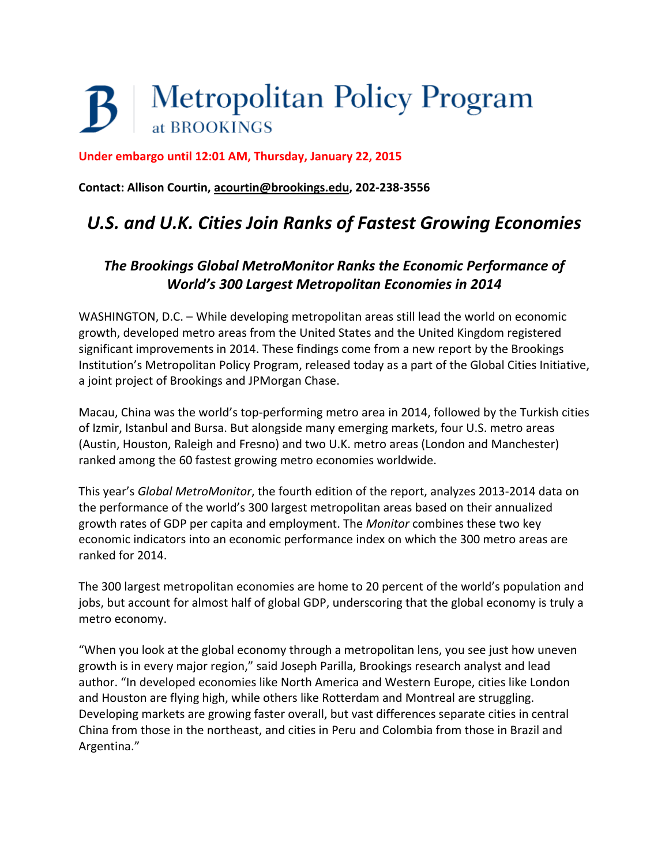## **Metropolitan Policy Program** at BROOKINGS

**Under embargo until 12:01 AM, Thursday, January 22, 2015**

**Contact: Allison Courtin, [acourtin@brookings.edu,](mailto:acourtin@brookings.edu) 202-238-3556**

## *U.S. and U.K. Cities Join Ranks of Fastest Growing Economies*

## *The Brookings Global MetroMonitor Ranks the Economic Performance of World's 300 Largest Metropolitan Economies in 2014*

WASHINGTON, D.C. – While developing metropolitan areas still lead the world on economic growth, developed metro areas from the United States and the United Kingdom registered significant improvements in 2014. These findings come from a new report by the Brookings Institution's Metropolitan Policy Program, released today as a part of the Global Cities Initiative, a joint project of Brookings and JPMorgan Chase.

Macau, China was the world's top-performing metro area in 2014, followed by the Turkish cities of Izmir, Istanbul and Bursa. But alongside many emerging markets, four U.S. metro areas (Austin, Houston, Raleigh and Fresno) and two U.K. metro areas (London and Manchester) ranked among the 60 fastest growing metro economies worldwide.

This year's *Global MetroMonitor*, the fourth edition of the report, analyzes 2013-2014 data on the performance of the world's 300 largest metropolitan areas based on their annualized growth rates of GDP per capita and employment. The *Monitor* combines these two key economic indicators into an economic performance index on which the 300 metro areas are ranked for 2014.

The 300 largest metropolitan economies are home to 20 percent of the world's population and jobs, but account for almost half of global GDP, underscoring that the global economy is truly a metro economy.

"When you look at the global economy through a metropolitan lens, you see just how uneven growth is in every major region," said Joseph Parilla, Brookings research analyst and lead author. "In developed economies like North America and Western Europe, cities like London and Houston are flying high, while others like Rotterdam and Montreal are struggling. Developing markets are growing faster overall, but vast differences separate cities in central China from those in the northeast, and cities in Peru and Colombia from those in Brazil and Argentina."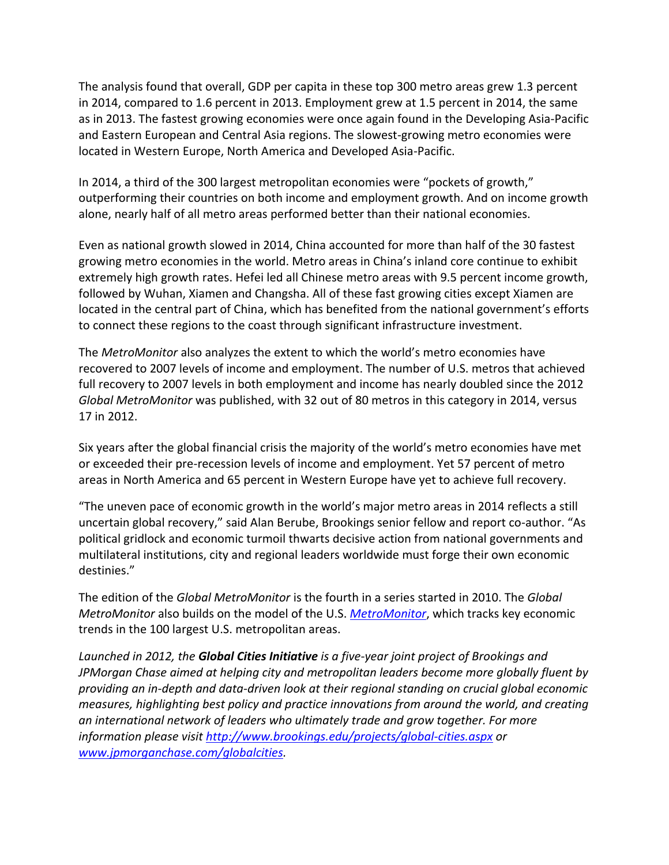The analysis found that overall, GDP per capita in these top 300 metro areas grew 1.3 percent in 2014, compared to 1.6 percent in 2013. Employment grew at 1.5 percent in 2014, the same as in 2013. The fastest growing economies were once again found in the Developing Asia-Pacific and Eastern European and Central Asia regions. The slowest-growing metro economies were located in Western Europe, North America and Developed Asia-Pacific.

In 2014, a third of the 300 largest metropolitan economies were "pockets of growth," outperforming their countries on both income and employment growth. And on income growth alone, nearly half of all metro areas performed better than their national economies.

Even as national growth slowed in 2014, China accounted for more than half of the 30 fastest growing metro economies in the world. Metro areas in China's inland core continue to exhibit extremely high growth rates. Hefei led all Chinese metro areas with 9.5 percent income growth, followed by Wuhan, Xiamen and Changsha. All of these fast growing cities except Xiamen are located in the central part of China, which has benefited from the national government's efforts to connect these regions to the coast through significant infrastructure investment.

The *MetroMonitor* also analyzes the extent to which the world's metro economies have recovered to 2007 levels of income and employment. The number of U.S. metros that achieved full recovery to 2007 levels in both employment and income has nearly doubled since the 2012 *Global MetroMonitor* was published, with 32 out of 80 metros in this category in 2014, versus 17 in 2012.

Six years after the global financial crisis the majority of the world's metro economies have met or exceeded their pre-recession levels of income and employment. Yet 57 percent of metro areas in North America and 65 percent in Western Europe have yet to achieve full recovery.

"The uneven pace of economic growth in the world's major metro areas in 2014 reflects a still uncertain global recovery," said Alan Berube, Brookings senior fellow and report co-author. "As political gridlock and economic turmoil thwarts decisive action from national governments and multilateral institutions, city and regional leaders worldwide must forge their own economic destinies."

The edition of the *Global MetroMonitor* is the fourth in a series started in 2010. The *Global MetroMonitor* also builds on the model of the U.S. *[MetroMonitor](http://www.brookings.edu/research/interactives/metromonitor#/M10420)*, which tracks key economic trends in the 100 largest U.S. metropolitan areas.

*Launched in 2012, the Global Cities Initiative is a five-year joint project of Brookings and JPMorgan Chase aimed at helping city and metropolitan leaders become more globally fluent by providing an in-depth and data-driven look at their regional standing on crucial global economic measures, highlighting best policy and practice innovations from around the world, and creating an international network of leaders who ultimately trade and grow together. For more information please visit<http://www.brookings.edu/projects/global-cities.aspx> or [www.jpmorganchase.com/globalcities.](http://www.jpmorganchase.com/globalcities)*